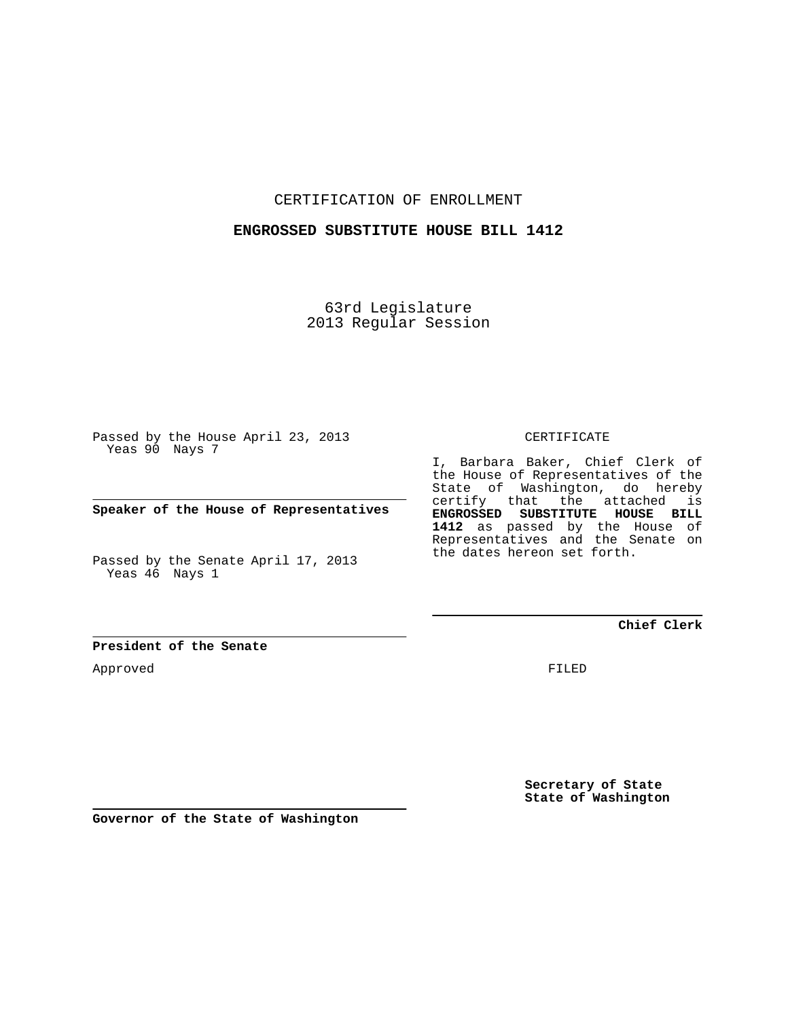CERTIFICATION OF ENROLLMENT

## **ENGROSSED SUBSTITUTE HOUSE BILL 1412**

63rd Legislature 2013 Regular Session

Passed by the House April 23, 2013 Yeas 90 Nays 7

**Speaker of the House of Representatives**

Passed by the Senate April 17, 2013 Yeas 46 Nays 1

CERTIFICATE

I, Barbara Baker, Chief Clerk of the House of Representatives of the State of Washington, do hereby certify that the attached is **ENGROSSED SUBSTITUTE HOUSE BILL 1412** as passed by the House of Representatives and the Senate on the dates hereon set forth.

**Chief Clerk**

**President of the Senate**

Approved

FILED

**Secretary of State State of Washington**

**Governor of the State of Washington**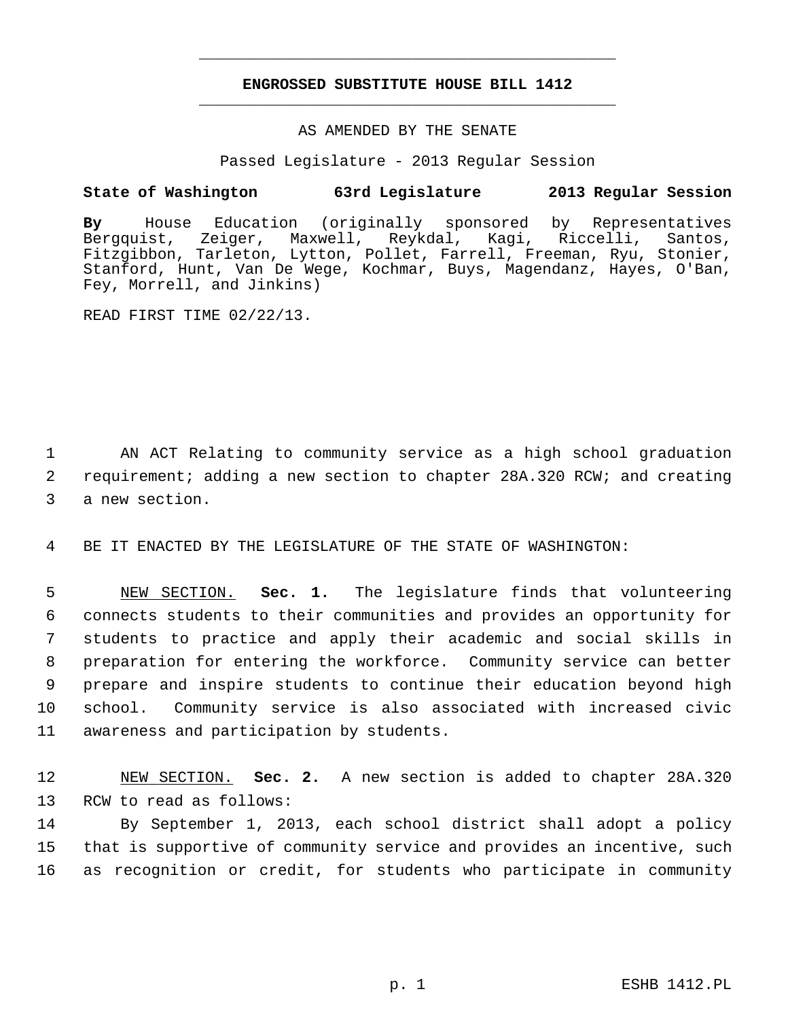## **ENGROSSED SUBSTITUTE HOUSE BILL 1412** \_\_\_\_\_\_\_\_\_\_\_\_\_\_\_\_\_\_\_\_\_\_\_\_\_\_\_\_\_\_\_\_\_\_\_\_\_\_\_\_\_\_\_\_\_

\_\_\_\_\_\_\_\_\_\_\_\_\_\_\_\_\_\_\_\_\_\_\_\_\_\_\_\_\_\_\_\_\_\_\_\_\_\_\_\_\_\_\_\_\_

## AS AMENDED BY THE SENATE

Passed Legislature - 2013 Regular Session

## **State of Washington 63rd Legislature 2013 Regular Session**

**By** House Education (originally sponsored by Representatives Zeiger, Maxwell, Reykdal, Kagi, Riccelli, Santos, Fitzgibbon, Tarleton, Lytton, Pollet, Farrell, Freeman, Ryu, Stonier, Stanford, Hunt, Van De Wege, Kochmar, Buys, Magendanz, Hayes, O'Ban, Fey, Morrell, and Jinkins)

READ FIRST TIME 02/22/13.

 1 AN ACT Relating to community service as a high school graduation 2 requirement; adding a new section to chapter 28A.320 RCW; and creating 3 a new section.

4 BE IT ENACTED BY THE LEGISLATURE OF THE STATE OF WASHINGTON:

 5 NEW SECTION. **Sec. 1.** The legislature finds that volunteering 6 connects students to their communities and provides an opportunity for 7 students to practice and apply their academic and social skills in 8 preparation for entering the workforce. Community service can better 9 prepare and inspire students to continue their education beyond high 10 school. Community service is also associated with increased civic 11 awareness and participation by students.

12 NEW SECTION. **Sec. 2.** A new section is added to chapter 28A.320 13 RCW to read as follows:

14 By September 1, 2013, each school district shall adopt a policy 15 that is supportive of community service and provides an incentive, such 16 as recognition or credit, for students who participate in community